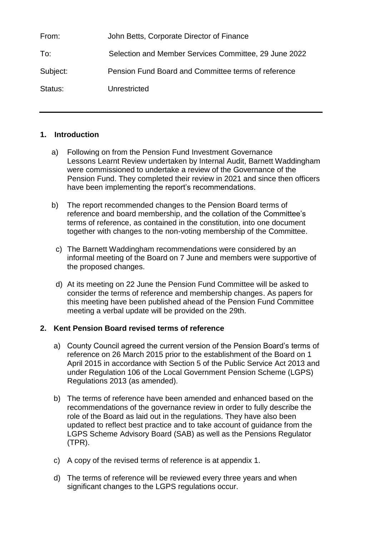| From:    | John Betts, Corporate Director of Finance             |
|----------|-------------------------------------------------------|
| To:      | Selection and Member Services Committee, 29 June 2022 |
| Subject: | Pension Fund Board and Committee terms of reference   |
| Status:  | Unrestricted                                          |

### **1. Introduction**

- a) Following on from the Pension Fund Investment Governance Lessons Learnt Review undertaken by Internal Audit, Barnett Waddingham were commissioned to undertake a review of the Governance of the Pension Fund. They completed their review in 2021 and since then officers have been implementing the report's recommendations.
- b) The report recommended changes to the Pension Board terms of reference and board membership, and the collation of the Committee's terms of reference, as contained in the constitution, into one document together with changes to the non-voting membership of the Committee.
	- c) The Barnett Waddingham recommendations were considered by an informal meeting of the Board on 7 June and members were supportive of the proposed changes.
	- d) At its meeting on 22 June the Pension Fund Committee will be asked to consider the terms of reference and membership changes. As papers for this meeting have been published ahead of the Pension Fund Committee meeting a verbal update will be provided on the 29th.

### **2. Kent Pension Board revised terms of reference**

- a) County Council agreed the current version of the Pension Board's terms of reference on 26 March 2015 prior to the establishment of the Board on 1 April 2015 in accordance with Section 5 of the Public Service Act 2013 and under Regulation 106 of the Local Government Pension Scheme (LGPS) Regulations 2013 (as amended).
- b) The terms of reference have been amended and enhanced based on the recommendations of the governance review in order to fully describe the role of the Board as laid out in the regulations. They have also been updated to reflect best practice and to take account of guidance from the LGPS Scheme Advisory Board (SAB) as well as the Pensions Regulator (TPR).
- c) A copy of the revised terms of reference is at appendix 1.
- d) The terms of reference will be reviewed every three years and when significant changes to the LGPS regulations occur.